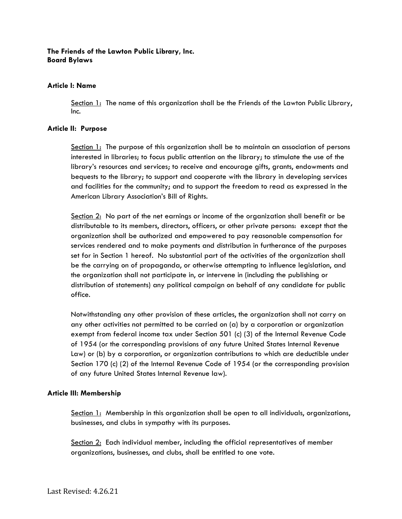## **The Friends of the Lawton Public Library, Inc. Board Bylaws**

#### **Article I: Name**

Section 1: The name of this organization shall be the Friends of the Lawton Public Library, Inc.

#### **Article II: Purpose**

Section 1: The purpose of this organization shall be to maintain an association of persons interested in libraries; to focus public attention on the library; to stimulate the use of the library's resources and services; to receive and encourage gifts, grants, endowments and bequests to the library; to support and cooperate with the library in developing services and facilities for the community; and to support the freedom to read as expressed in the American Library Association's Bill of Rights.

Section 2: No part of the net earnings or income of the organization shall benefit or be distributable to its members, directors, officers, or other private persons: except that the organization shall be authorized and empowered to pay reasonable compensation for services rendered and to make payments and distribution in furtherance of the purposes set for in Section 1 hereof. No substantial part of the activities of the organization shall be the carrying on of propaganda, or otherwise attempting to influence legislation, and the organization shall not participate in, or intervene in (including the publishing or distribution of statements) any political campaign on behalf of any candidate for public office.

Notwithstanding any other provision of these articles, the organization shall not carry on any other activities not permitted to be carried on (a) by a corporation or organization exempt from federal income tax under Section 501 (c) (3) of the Internal Revenue Code of 1954 (or the corresponding provisions of any future United States Internal Revenue Law) or (b) by a corporation, or organization contributions to which are deductible under Section 170 (c) (2) of the Internal Revenue Code of 1954 (or the corresponding provision of any future United States Internal Revenue law).

#### **Article III: Membership**

Section 1: Membership in this organization shall be open to all individuals, organizations, businesses, and clubs in sympathy with its purposes.

Section 2: Each individual member, including the official representatives of member organizations, businesses, and clubs, shall be entitled to one vote.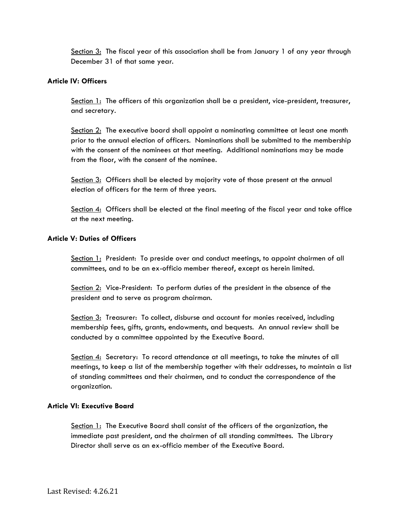Section 3: The fiscal year of this association shall be from January 1 of any year through December 31 of that same year.

## **Article IV: Officers**

Section 1: The officers of this organization shall be a president, vice-president, treasurer, and secretary.

Section 2: The executive board shall appoint a nominating committee at least one month prior to the annual election of officers. Nominations shall be submitted to the membership with the consent of the nominees at that meeting. Additional nominations may be made from the floor, with the consent of the nominee.

Section 3: Officers shall be elected by majority vote of those present at the annual election of officers for the term of three years.

Section  $4$ : Officers shall be elected at the final meeting of the fiscal year and take office at the next meeting.

## **Article V: Duties of Officers**

Section 1: President: To preside over and conduct meetings, to appoint chairmen of all committees, and to be an ex-officio member thereof, except as herein limited.

Section 2: Vice-President: To perform duties of the president in the absence of the president and to serve as program chairman.

Section 3: Treasurer: To collect, disburse and account for monies received, including membership fees, gifts, grants, endowments, and bequests. An annual review shall be conducted by a committee appointed by the Executive Board.

Section 4: Secretary: To record attendance at all meetings, to take the minutes of all meetings, to keep a list of the membership together with their addresses, to maintain a list of standing committees and their chairmen, and to conduct the correspondence of the organization.

#### **Article VI: Executive Board**

Section 1: The Executive Board shall consist of the officers of the organization, the immediate past president, and the chairmen of all standing committees. The Library Director shall serve as an ex-officio member of the Executive Board.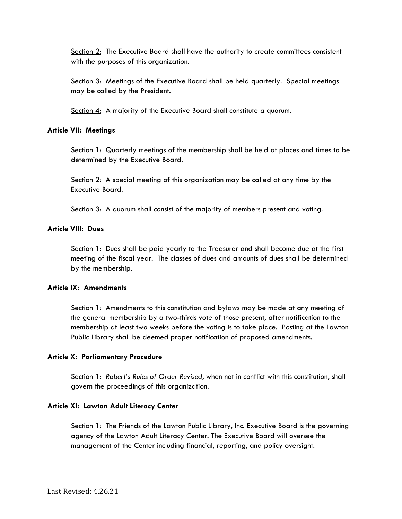Section 2: The Executive Board shall have the authority to create committees consistent with the purposes of this organization.

Section 3: Meetings of the Executive Board shall be held quarterly. Special meetings may be called by the President.

Section 4: A majority of the Executive Board shall constitute a quorum.

## **Article VII: Meetings**

Section 1: Quarterly meetings of the membership shall be held at places and times to be determined by the Executive Board.

Section 2: A special meeting of this organization may be called at any time by the Executive Board.

Section 3: A quorum shall consist of the majority of members present and voting.

## **Article VIII: Dues**

Section 1: Dues shall be paid yearly to the Treasurer and shall become due at the first meeting of the fiscal year. The classes of dues and amounts of dues shall be determined by the membership.

# **Article IX: Amendments**

Section 1: Amendments to this constitution and bylaws may be made at any meeting of the general membership by a two-thirds vote of those present, after notification to the membership at least two weeks before the voting is to take place. Posting at the Lawton Public Library shall be deemed proper notification of proposed amendments.

# **Article X: Parliamentary Procedure**

Section 1: *Robert's Rules of Order Revised*, when not in conflict with this constitution, shall govern the proceedings of this organization.

#### **Article XI: Lawton Adult Literacy Center**

Section 1: The Friends of the Lawton Public Library, Inc. Executive Board is the governing agency of the Lawton Adult Literacy Center. The Executive Board will oversee the management of the Center including financial, reporting, and policy oversight.